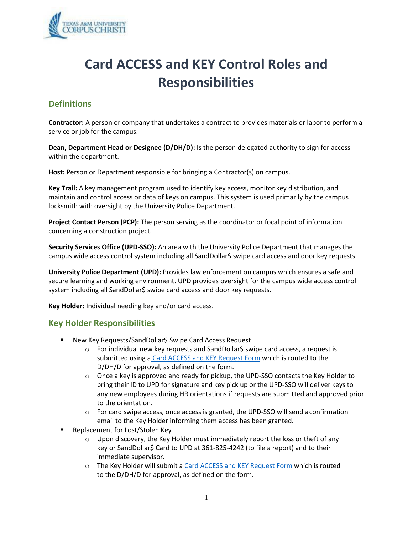

# **Card ACCESS and KEY Control Roles and Responsibilities**

## **Definitions**

**Contractor:** A person or company that undertakes a contract to provides materials or labor to perform a service or job for the campus.

**Dean, Department Head or Designee (D/DH/D):** Is the person delegated authority to sign for access within the department.

**Host:** Person or Department responsible for bringing a Contractor(s) on campus.

**Key Trail:** A key management program used to identify key access, monitor key distribution, and maintain and control access or data of keys on campus. This system is used primarily by the campus locksmith with oversight by the University Police Department.

**Project Contact Person (PCP):** The person serving as the coordinator or focal point of information concerning a construction project.

**Security Services Office (UPD-SSO):** An area with the University Police Department that manages the campus wide access control system including all SandDollar\$ swipe card access and door key requests.

**University Police Department (UPD):** Provides law enforcement on campus which ensures a safe and secure learning and working environment. UPD provides oversight for the campus wide access control system including all SandDollar\$ swipe card access and door key requests.

**Key Holder:** Individual needing key and/or card access.

#### **Key Holder Responsibilities**

- New Key Requests/SandDollar\$ Swipe Card Access Request
	- o For individual new key requests and SandDollar\$ swipe card access, a request is submitted using a [Card ACCESS and KEY Request Form](https://app.smartsheet.com/b/form/fb5098128d3f489bb2bf391c7964c21a) which is routed to the D/DH/D for approval, as defined on the form.
	- $\circ$  Once a key is approved and ready for pickup, the UPD-SSO contacts the Key Holder to bring their ID to UPD for signature and key pick up or the UPD-SSO will deliver keys to any new employees during HR orientations if requests are submitted and approved prior to the orientation.
	- o For card swipe access, once access is granted, the UPD-SSO will send aconfirmation email to the Key Holder informing them access has been granted.
- Replacement for Lost/Stolen Key
	- o Upon discovery, the Key Holder must immediately report the loss or theft of any key or SandDollar\$ Card to UPD at 361-825-4242 (to file a report) and to their immediate supervisor.
	- o The Key Holder will submit a [Card ACCESS and KEY Request Form](https://app.smartsheet.com/b/form/fb5098128d3f489bb2bf391c7964c21a) which is routed to the D/DH/D for approval, as defined on the form.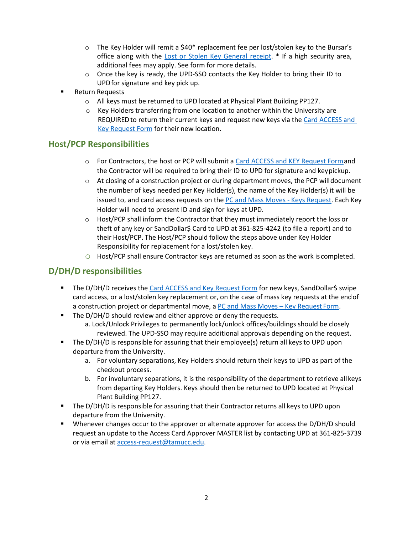- o The Key Holder will remit a \$40\* replacement fee per lost/stolen key to the Bursar's office along with the [Lost or Stolen Key General receipt. \\*](https://police.tamucc.edu/assets/docs/lost_or_stolen_key_information_updated_05_06_2020.pdf) If a high security area, additional fees may apply. See form for more details.
- o Once the key is ready, the UPD-SSO contacts the Key Holder to bring their ID to UPDfor signature and key pick up.
- **Return Requests** 
	- o All keys must be returned to UPD located at Physical Plant Building PP127.
	- $\circ$  Key Holders transferring from one location to another within the University are REQUIRED to return their current keys and request new keys via the Card ACCESS and [Key Request](https://app.smartsheet.com/b/form/fb5098128d3f489bb2bf391c7964c21a) [Form](https://app.smartsheet.com/b/form/fb5098128d3f489bb2bf391c7964c21a) for their new location.

### **Host/PCP Responsibilities**

- o For Contractors, the host or PCP will submit a [Card ACCESS and KEY Request Forma](https://app.smartsheet.com/b/form/fb5098128d3f489bb2bf391c7964c21a)nd the Contractor will be required to bring their ID to UPD for signature and keypickup.
- $\circ$  At closing of a construction project or during department moves, the PCP willdocument the number of keys needed per Key Holder(s), the name of the Key Holder(s) it will be issued to, and card access requests on the [PC and Mass Moves -](https://app.smartsheet.com/b/publish?EQBCT=af5fc9534a9e44d89c5593db723f412c) Keys Request. Each Key Holder will need to present ID and sign for keys at UPD.
- $\circ$  Host/PCP shall inform the Contractor that they must immediately report the loss or theft of any key or SandDollar\$ Card to UPD at 361-825-4242 (to file a report) and to their Host/PCP. The Host/PCP should follow the steps above under Key Holder Responsibility for replacement for a lost/stolen key.
- o Host/PCP shall ensure Contractor keys are returned as soon as the work is completed.

## **D/DH/D responsibilities**

- **The D/DH/D receives the [Card ACCESS and Key Request Form](https://app.smartsheet.com/b/form/fb5098128d3f489bb2bf391c7964c21a) for new keys, SandDollar\$ swipe** card access, or a lost/stolen key replacement or, on the case of mass key requests at the endof a construction project or departmental move, a [PC and Mass Moves –](https://app.smartsheet.com/b/publish?EQBCT=af5fc9534a9e44d89c5593db723f412c) Key Request Form.
- The D/DH/D should review and either approve or deny the requests.
	- a. Lock/Unlock Privileges to permanently lock/unlock offices/buildings should be closely reviewed. The UPD-SSO may require additional approvals depending on the request.
- **The D/DH/D is responsible for assuring that their employee(s) return all keys to UPD upon** departure from the University.
	- a. For voluntary separations, Key Holders should return their keys to UPD as part of the checkout process.
	- b. For involuntary separations, it is the responsibility of the department to retrieve allkeys from departing Key Holders. Keys should then be returned to UPD located at Physical Plant Building PP127.
- **The D/DH/D is responsible for assuring that their Contractor returns all keys to UPD upon** departure from the University.
- Whenever changes occur to the approver or alternate approver for access the D/DH/D should request an update to the Access Card Approver MASTER list by contacting UPD at 361-825-3739 or via email at [access-request@tamucc.edu.](mailto:access-request@tamucc.edu)